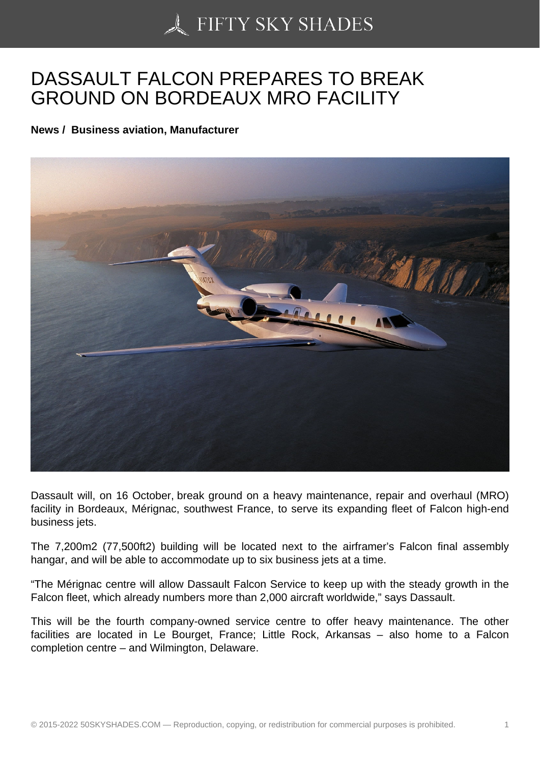## [DASSAULT FALCON P](https://50skyshades.com)REPARES TO BREAK GROUND ON BORDEAUX MRO FACILITY

News / Business aviation, Manufacturer

Dassault will, on 16 October, break ground on a heavy maintenance, repair and overhaul (MRO) facility in Bordeaux, Mérignac, southwest France, to serve its expanding fleet of Falcon high-end business jets.

The 7,200m2 (77,500ft2) building will be located next to the airframer's Falcon final assembly hangar, and will be able to accommodate up to six business jets at a time.

"The Mérignac centre will allow Dassault Falcon Service to keep up with the steady growth in the Falcon fleet, which already numbers more than 2,000 aircraft worldwide," says Dassault.

This will be the fourth company-owned service centre to offer heavy maintenance. The other facilities are located in Le Bourget, France; Little Rock, Arkansas – also home to a Falcon completion centre – and Wilmington, Delaware.